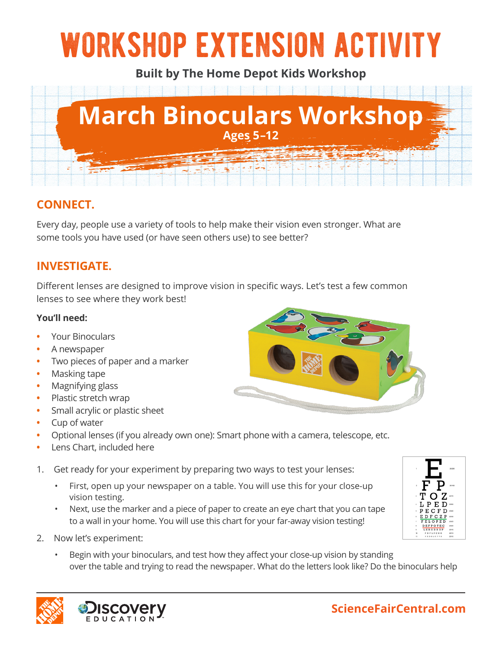# workshop extension activity

**Built by The Home Depot Kids Workshop**



## **CONNECT.**

Every day, people use a variety of tools to help make their vision even stronger. What are some tools you have used (or have seen others use) to see better?

## **INVESTIGATE.**

Different lenses are designed to improve vision in specific ways. Let's test a few common lenses to see where they work best!

#### **You'll need:**

- **•** Your Binoculars
- **•** A newspaper
- **•** Two pieces of paper and a marker
- **•** Masking tape
- **•** Magnifying glass
- **•** Plastic stretch wrap
- **•** Small acrylic or plastic sheet
- **•** Cup of water
- **•** Optional lenses (if you already own one): Smart phone with a camera, telescope, etc.
- **•** Lens Chart, included here
- 1. Get ready for your experiment by preparing two ways to test your lenses:
	- First, open up your newspaper on a table. You will use this for your close-up vision testing.
	- Next, use the marker and a piece of paper to create an eye chart that you can tape to a wall in your home. You will use this chart for your far-away vision testing!
- 2. Now let's experiment:
	- Begin with your binoculars, and test how they affect your close-up vision by standing over the table and trying to read the newspaper. What do the letters look like? Do the binoculars help